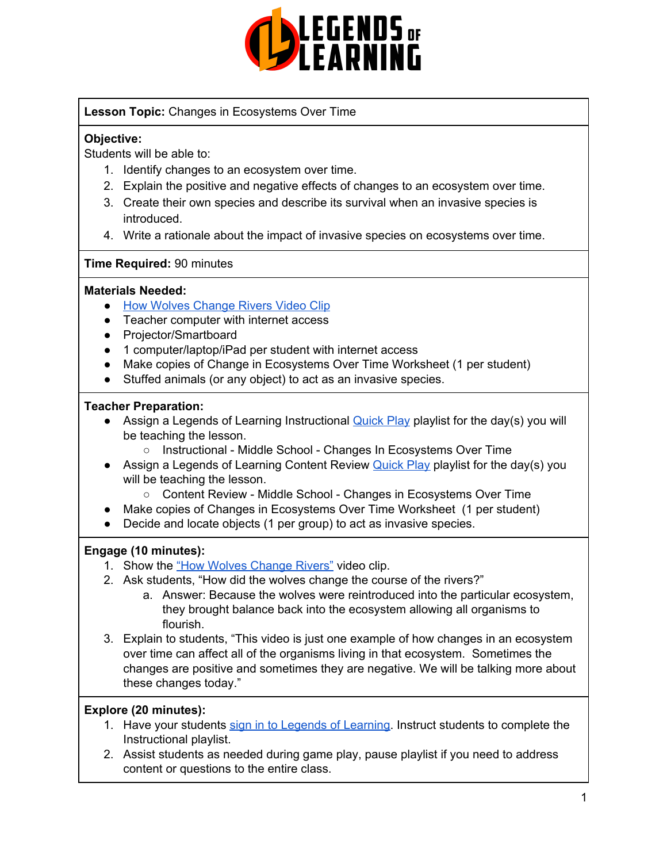

## **Lesson Topic:** Changes in Ecosystems Over Time

## **Objective:**

Students will be able to:

- 1. Identify changes to an ecosystem over time.
- 2. Explain the positive and negative effects of changes to an ecosystem over time.
- 3. Create their own species and describe its survival when an invasive species is introduced.
- 4. Write a rationale about the impact of invasive species on ecosystems over time.

## **Time Required:** 90 minutes

## **Materials Needed:**

- **How Wolves [Change](https://www.youtube.com/watch?v=ysa5OBhXz-Q) Rivers Video Clip**
- Teacher computer with internet access
- Projector/Smartboard
- 1 computer/laptop/iPad per student with internet access
- Make copies of Change in Ecosystems Over Time Worksheet (1 per student)
- Stuffed animals (or any object) to act as an invasive species.

## **Teacher Preparation:**

- Assign a Legends of Learning Instructional [Quick](https://intercom.help/legends-of-learning/en/articles/2701866-assigning-a-quick-play-playlist) Play playlist for the day(s) you will be teaching the lesson.
	- Instructional Middle School Changes In Ecosystems Over Time
- Assign a Legends of Learning Content Review [Quick](https://intercom.help/legends-of-learning/en/articles/2701866-assigning-a-quick-play-playlist) Play playlist for the day(s) you will be teaching the lesson.
	- Content Review Middle School Changes in Ecosystems Over Time
- Make copies of Changes in Ecosystems Over Time Worksheet (1 per student)
- Decide and locate objects (1 per group) to act as invasive species.

## **Engage (10 minutes):**

- 1. Show the "How Wolves [Change](https://www.youtube.com/watch?v=ysa5OBhXz-Q) Rivers" video clip.
- 2. Ask students, "How did the wolves change the course of the rivers?"
	- a. Answer: Because the wolves were reintroduced into the particular ecosystem, they brought balance back into the ecosystem allowing all organisms to flourish.
- 3. Explain to students, "This video is just one example of how changes in an ecosystem over time can affect all of the organisms living in that ecosystem. Sometimes the changes are positive and sometimes they are negative. We will be talking more about these changes today."

## **Explore (20 minutes):**

- 1. Have your students sign in to Legends of [Learning](https://intercom.help/legends-of-learning/en/articles/2154920-students-joining-a-playlist). Instruct students to complete the Instructional playlist.
- 2. Assist students as needed during game play, pause playlist if you need to address content or questions to the entire class.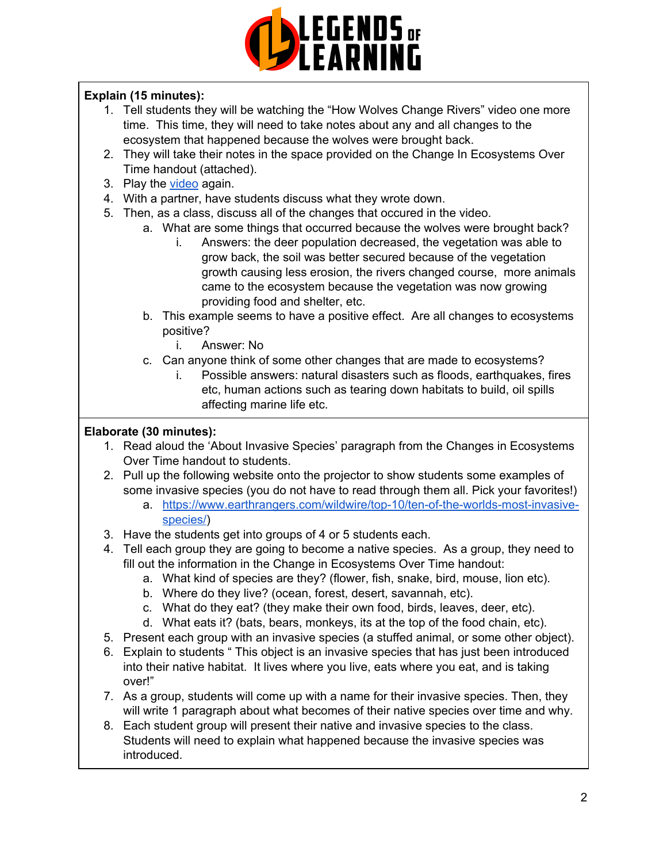

## **Explain (15 minutes):**

- 1. Tell students they will be watching the "How Wolves Change Rivers" video one more time. This time, they will need to take notes about any and all changes to the ecosystem that happened because the wolves were brought back.
- 2. They will take their notes in the space provided on the Change In Ecosystems Over Time handout (attached).
- 3. Play the [video](https://www.youtube.com/watch?v=ysa5OBhXz-Q) again.
- 4. With a partner, have students discuss what they wrote down.
- 5. Then, as a class, discuss all of the changes that occured in the video.
	- a. What are some things that occurred because the wolves were brought back?
		- i. Answers: the deer population decreased, the vegetation was able to grow back, the soil was better secured because of the vegetation growth causing less erosion, the rivers changed course, more animals came to the ecosystem because the vegetation was now growing providing food and shelter, etc.
	- b. This example seems to have a positive effect. Are all changes to ecosystems positive?
		- i. Answer: No
	- c. Can anyone think of some other changes that are made to ecosystems?
		- i. Possible answers: natural disasters such as floods, earthquakes, fires etc, human actions such as tearing down habitats to build, oil spills affecting marine life etc.

## **Elaborate (30 minutes):**

- 1. Read aloud the 'About Invasive Species' paragraph from the Changes in Ecosystems Over Time handout to students.
- 2. Pull up the following website onto the projector to show students some examples of some invasive species (you do not have to read through them all. Pick your favorites!)
	- a. [https://www.earthrangers.com/wildwire/top-10/ten-of-the-worlds-most-invasive](https://www.earthrangers.com/wildwire/top-10/ten-of-the-worlds-most-invasive-species/)[species/\)](https://www.earthrangers.com/wildwire/top-10/ten-of-the-worlds-most-invasive-species/)
- 3. Have the students get into groups of 4 or 5 students each.
- 4. Tell each group they are going to become a native species. As a group, they need to fill out the information in the Change in Ecosystems Over Time handout:
	- a. What kind of species are they? (flower, fish, snake, bird, mouse, lion etc).
	- b. Where do they live? (ocean, forest, desert, savannah, etc).
	- c. What do they eat? (they make their own food, birds, leaves, deer, etc).
	- d. What eats it? (bats, bears, monkeys, its at the top of the food chain, etc).
- 5. Present each group with an invasive species (a stuffed animal, or some other object).
- 6. Explain to students " This object is an invasive species that has just been introduced into their native habitat. It lives where you live, eats where you eat, and is taking over!"
- 7. As a group, students will come up with a name for their invasive species. Then, they will write 1 paragraph about what becomes of their native species over time and why.
- 8. Each student group will present their native and invasive species to the class. Students will need to explain what happened because the invasive species was introduced.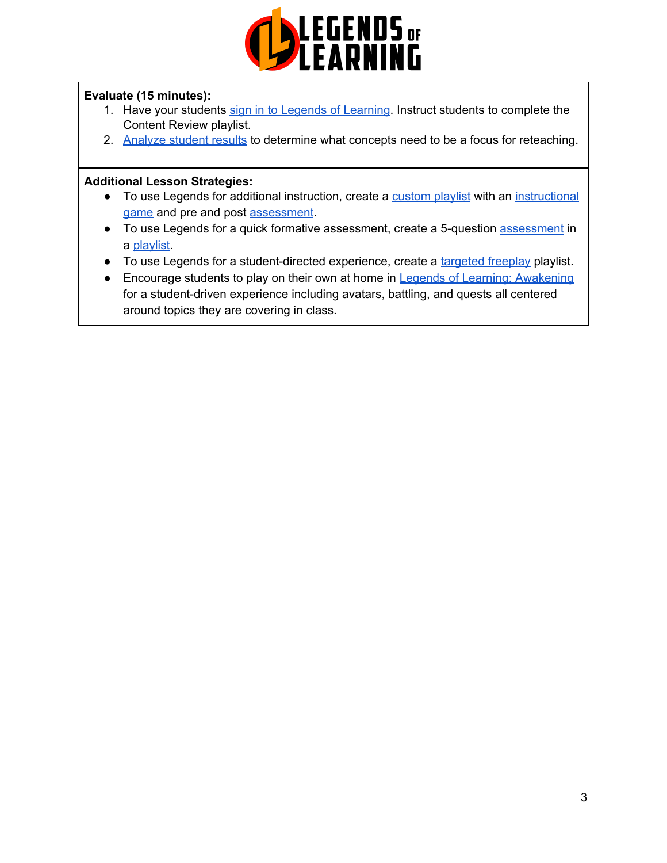

## **Evaluate (15 minutes):**

- 1. Have your students sign in to Legends of [Learning](https://intercom.help/legends-of-learning/en/articles/2154920-students-joining-a-playlist). Instruct students to complete the Content Review playlist.
- 2. [Analyze](https://intercom.help/legends-of-learning/en/articles/2154918-tracking-student-progress-and-performance) student results to determine what concepts need to be a focus for reteaching.

#### **Additional Lesson Strategies:**

- To use Legends for additional instruction, create a [custom](https://intercom.help/legends-of-learning/en/articles/2154910-creating-a-playlist) playlist with an [instructional](https://intercom.help/legends-of-learning/en/articles/3505828-types-of-games) [game](https://intercom.help/legends-of-learning/en/articles/3505828-types-of-games) and pre and post [assessment](https://intercom.help/legends-of-learning/en/articles/2154913-adding-assessments-to-a-playlist).
- To use Legends for a quick formative [assessment](https://intercom.help/legends-of-learning/en/articles/2154913-adding-assessments-to-a-playlist), create a 5-question assessment in a [playlist](https://intercom.help/legends-of-learning/en/articles/2154910-creating-a-playlist).
- To use Legends for a student-directed experience, create a [targeted](https://intercom.help/legends-of-learning/en/articles/3340814-targeted-freeplay) freeplay playlist.
- Encourage students to play on their own at home in Legends of Learning: [Awakening](https://intercom.help/legends-of-learning/en/articles/2425490-legends-of-learning-awakening) for a student-driven experience including avatars, battling, and quests all centered around topics they are covering in class.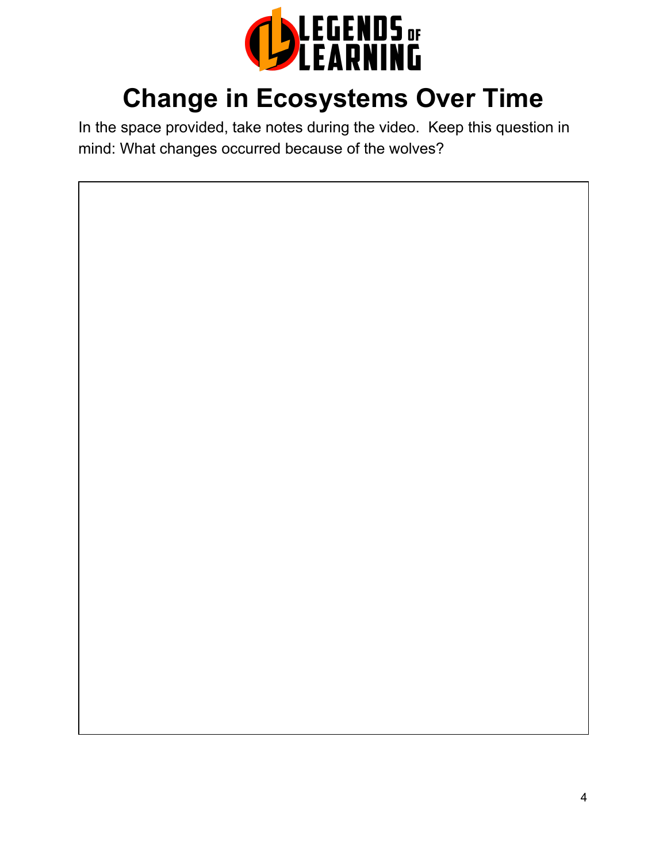

## **Change in Ecosystems Over Time**

In the space provided, take notes during the video. Keep this question in mind: What changes occurred because of the wolves?

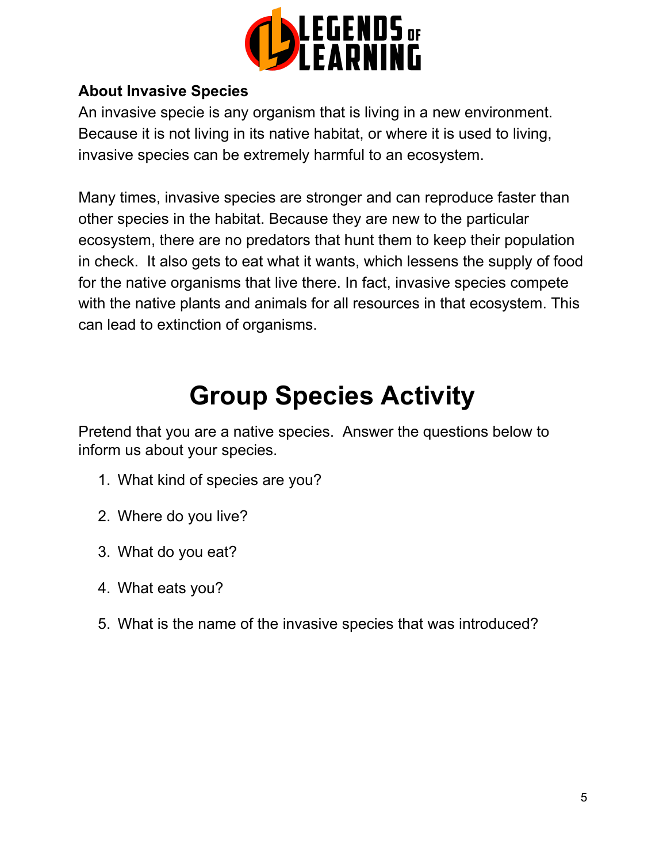

## **About Invasive Species**

An invasive specie is any organism that is living in a new environment. Because it is not living in its native habitat, or where it is used to living, invasive species can be extremely harmful to an ecosystem.

Many times, invasive species are stronger and can reproduce faster than other species in the habitat. Because they are new to the particular ecosystem, there are no predators that hunt them to keep their population in check. It also gets to eat what it wants, which lessens the supply of food for the native organisms that live there. In fact, invasive species compete with the native plants and animals for all resources in that ecosystem. This can lead to extinction of organisms.

# **Group Species Activity**

Pretend that you are a native species. Answer the questions below to inform us about your species.

- 1. What kind of species are you?
- 2. Where do you live?
- 3. What do you eat?
- 4. What eats you?
- 5. What is the name of the invasive species that was introduced?